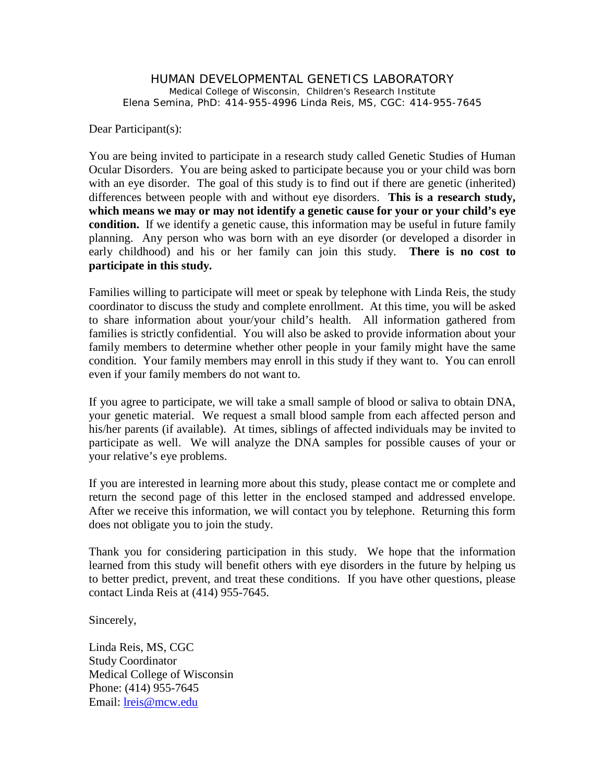HUMAN DEVELOPMENTAL GENETICS LABORATORY Medical College of Wisconsin, Children's Research Institute Elena Semina, PhD: 414-955-4996 Linda Reis, MS, CGC: 414-955-7645

Dear Participant(s):

You are being invited to participate in a research study called Genetic Studies of Human Ocular Disorders. You are being asked to participate because you or your child was born with an eye disorder. The goal of this study is to find out if there are genetic (inherited) differences between people with and without eye disorders. **This is a research study, which means we may or may not identify a genetic cause for your or your child's eye condition.** If we identify a genetic cause, this information may be useful in future family planning. Any person who was born with an eye disorder (or developed a disorder in early childhood) and his or her family can join this study. **There is no cost to participate in this study.**

Families willing to participate will meet or speak by telephone with Linda Reis, the study coordinator to discuss the study and complete enrollment. At this time, you will be asked to share information about your/your child's health. All information gathered from families is strictly confidential. You will also be asked to provide information about your family members to determine whether other people in your family might have the same condition. Your family members may enroll in this study if they want to. You can enroll even if your family members do not want to.

If you agree to participate, we will take a small sample of blood or saliva to obtain DNA, your genetic material. We request a small blood sample from each affected person and his/her parents (if available). At times, siblings of affected individuals may be invited to participate as well. We will analyze the DNA samples for possible causes of your or your relative's eye problems.

If you are interested in learning more about this study, please contact me or complete and return the second page of this letter in the enclosed stamped and addressed envelope. After we receive this information, we will contact you by telephone. Returning this form does not obligate you to join the study.

Thank you for considering participation in this study. We hope that the information learned from this study will benefit others with eye disorders in the future by helping us to better predict, prevent, and treat these conditions. If you have other questions, please contact Linda Reis at (414) 955-7645.

Sincerely,

Linda Reis, MS, CGC Study Coordinator Medical College of Wisconsin Phone: (414) 955-7645 Email: [lreis@mcw.edu](mailto:lreis@chw.org)